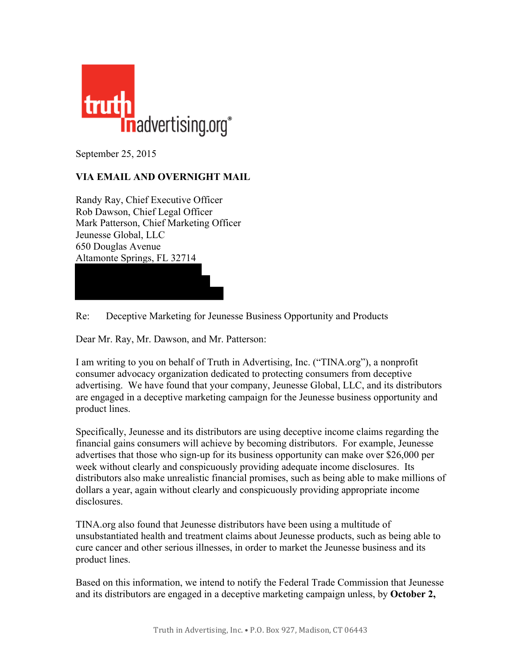

September 25, 2015

## **VIA EMAIL AND OVERNIGHT MAIL**

Randy Ray, Chief Executive Officer Rob Dawson, Chief Legal Officer Mark Patterson, Chief Marketing Officer Jeunesse Global, LLC 650 Douglas Avenue Altamonte Springs, FL 32714

Re: Deceptive Marketing for Jeunesse Business Opportunity and Products

Dear Mr. Ray, Mr. Dawson, and Mr. Patterson:

I am writing to you on behalf of Truth in Advertising, Inc. ("TINA.org"), a nonprofit consumer advocacy organization dedicated to protecting consumers from deceptive advertising. We have found that your company, Jeunesse Global, LLC, and its distributors are engaged in a deceptive marketing campaign for the Jeunesse business opportunity and product lines.

Specifically, Jeunesse and its distributors are using deceptive income claims regarding the financial gains consumers will achieve by becoming distributors. For example, Jeunesse advertises that those who sign-up for its business opportunity can make over \$26,000 per week without clearly and conspicuously providing adequate income disclosures. Its distributors also make unrealistic financial promises, such as being able to make millions of dollars a year, again without clearly and conspicuously providing appropriate income disclosures.

TINA.org also found that Jeunesse distributors have been using a multitude of unsubstantiated health and treatment claims about Jeunesse products, such as being able to cure cancer and other serious illnesses, in order to market the Jeunesse business and its product lines.

Based on this information, we intend to notify the Federal Trade Commission that Jeunesse and its distributors are engaged in a deceptive marketing campaign unless, by **October 2,**